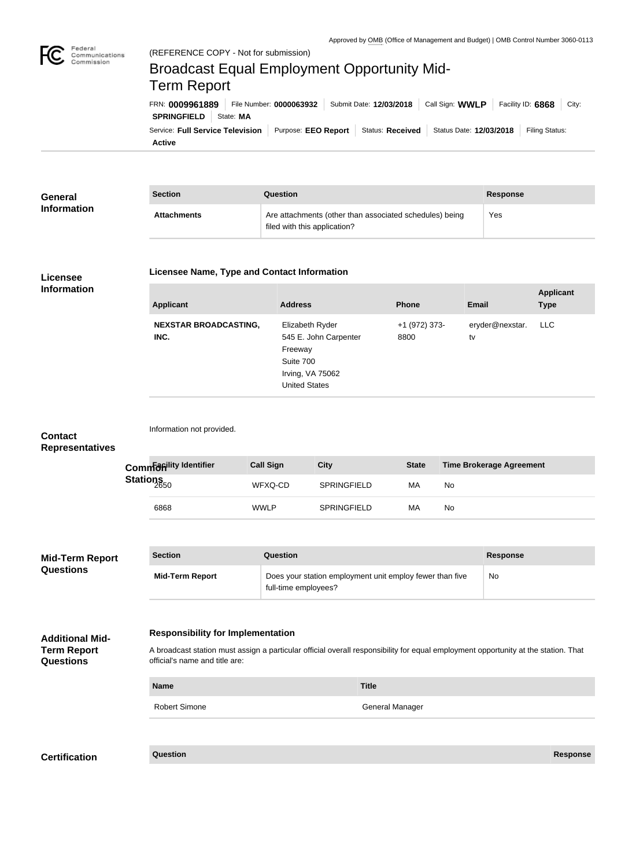

**Active**

## Service: Full Service Television | Purpose: EEO Report | Status: Received | Status Date: 12/03/2018 | Filing Status: **SPRINGFIELD** State: **MA** FRN: **0009961889** File Number: **0000063932** Submit Date: **12/03/2018** Call Sign: **WWLP** Facility ID: **6868** City: (REFERENCE COPY - Not for submission) Broadcast Equal Employment Opportunity Mid-Term Report

| General            | <b>Section</b>     | <b>Question</b>                                                                         | <b>Response</b> |  |
|--------------------|--------------------|-----------------------------------------------------------------------------------------|-----------------|--|
| <b>Information</b> | <b>Attachments</b> | Are attachments (other than associated schedules) being<br>filed with this application? | Yes             |  |

## **Licensee Information**

## **Licensee Name, Type and Contact Information**

| <b>Applicant</b>                     | <b>Address</b>                                                                                               | <b>Phone</b>          | <b>Email</b>          | <b>Applicant</b><br><b>Type</b> |
|--------------------------------------|--------------------------------------------------------------------------------------------------------------|-----------------------|-----------------------|---------------------------------|
| <b>NEXSTAR BROADCASTING,</b><br>INC. | Elizabeth Ryder<br>545 E. John Carpenter<br>Freeway<br>Suite 700<br>Irving, VA 75062<br><b>United States</b> | +1 (972) 373-<br>8800 | eryder@nexstar.<br>tv | LLC                             |

| <b>Contact</b><br><b>Representatives</b>                         |                  | Information not provided.                                                                                                                                                                                        |                                                                                  |                  |                    |                        |              |    |                                 |                 |
|------------------------------------------------------------------|------------------|------------------------------------------------------------------------------------------------------------------------------------------------------------------------------------------------------------------|----------------------------------------------------------------------------------|------------------|--------------------|------------------------|--------------|----|---------------------------------|-----------------|
|                                                                  |                  | Commanility Identifier                                                                                                                                                                                           |                                                                                  | <b>Call Sign</b> | <b>City</b>        |                        | <b>State</b> |    | <b>Time Brokerage Agreement</b> |                 |
|                                                                  | Stations<br>2650 |                                                                                                                                                                                                                  |                                                                                  | WFXQ-CD          | SPRINGFIELD        |                        | MA           | No |                                 |                 |
|                                                                  |                  | 6868                                                                                                                                                                                                             |                                                                                  | <b>WWLP</b>      | <b>SPRINGFIELD</b> |                        | МA           | No |                                 |                 |
|                                                                  |                  |                                                                                                                                                                                                                  |                                                                                  |                  |                    |                        |              |    |                                 |                 |
| Mid-Term Report                                                  |                  | <b>Section</b>                                                                                                                                                                                                   |                                                                                  | Question         |                    |                        |              |    | <b>Response</b>                 |                 |
| <b>Questions</b>                                                 |                  | <b>Mid-Term Report</b>                                                                                                                                                                                           | Does your station employment unit employ fewer than five<br>full-time employees? |                  |                    |                        |              |    | No                              |                 |
| <b>Additional Mid-</b><br><b>Term Report</b><br><b>Questions</b> |                  | <b>Responsibility for Implementation</b><br>A broadcast station must assign a particular official overall responsibility for equal employment opportunity at the station. That<br>official's name and title are: |                                                                                  |                  |                    |                        |              |    |                                 |                 |
|                                                                  |                  | <b>Name</b><br><b>Title</b>                                                                                                                                                                                      |                                                                                  |                  |                    |                        |              |    |                                 |                 |
|                                                                  |                  | <b>Robert Simone</b>                                                                                                                                                                                             |                                                                                  |                  |                    | <b>General Manager</b> |              |    |                                 |                 |
|                                                                  |                  |                                                                                                                                                                                                                  |                                                                                  |                  |                    |                        |              |    |                                 |                 |
| <b>Certification</b>                                             |                  | <b>Question</b>                                                                                                                                                                                                  |                                                                                  |                  |                    |                        |              |    |                                 | <b>Response</b> |
|                                                                  |                  |                                                                                                                                                                                                                  |                                                                                  |                  |                    |                        |              |    |                                 |                 |